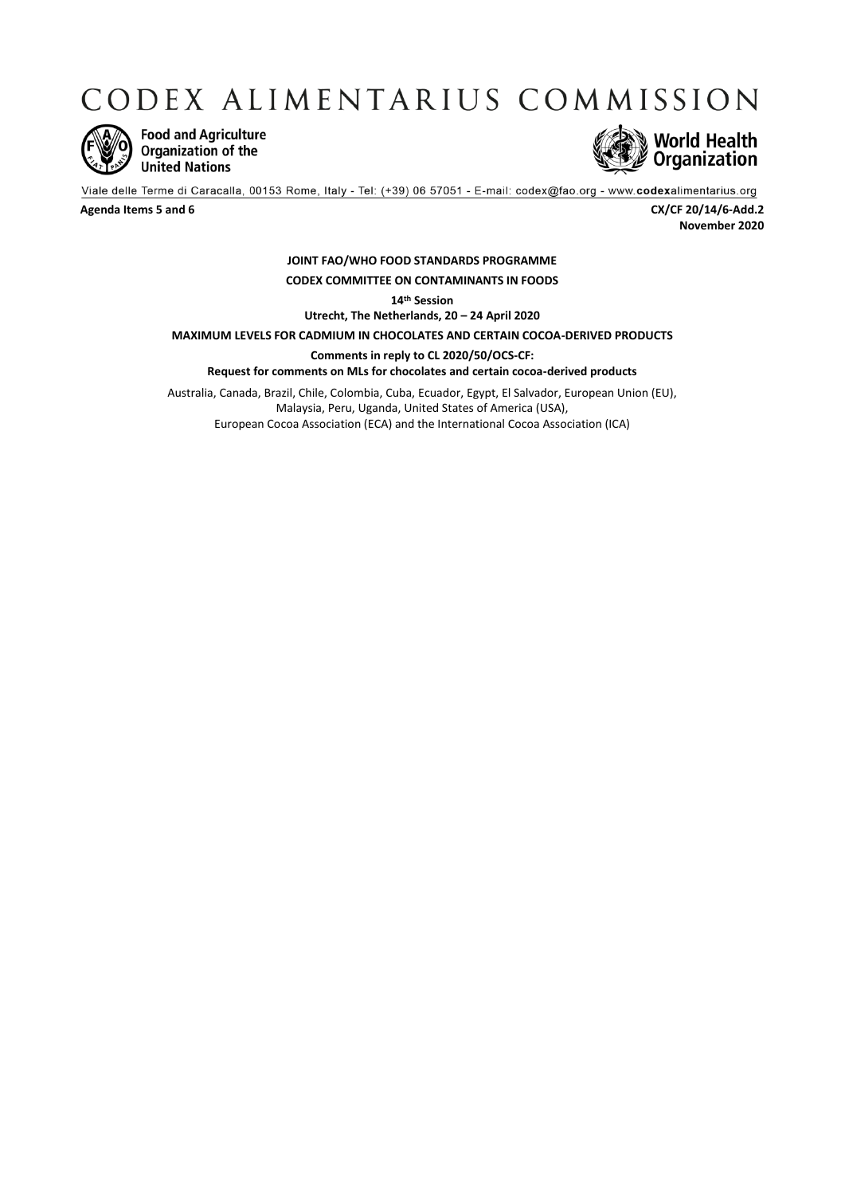CODEX ALIMENTARIUS COMMISSION



**Food and Agriculture** Organization of the **United Nations** 



Viale delle Terme di Caracalla, 00153 Rome, Italy - Tel: (+39) 06 57051 - E-mail: codex@fao.org - www.codexalimentarius.org

**Agenda Items 5 and 6 CX/CF 20/14/6-Add.2 November 2020**

## **JOINT FAO/WHO FOOD STANDARDS PROGRAMME CODEX COMMITTEE ON CONTAMINANTS IN FOODS**

**14th Session**

**Utrecht, The Netherlands, 20 – 24 April 2020**

**MAXIMUM LEVELS FOR CADMIUM IN CHOCOLATES AND CERTAIN COCOA-DERIVED PRODUCTS**

**Comments in reply to CL 2020/50/OCS-CF:**

**Request for comments on MLs for chocolates and certain cocoa-derived products** 

Australia, Canada, Brazil, Chile, Colombia, Cuba, Ecuador, Egypt, El Salvador, European Union (EU), Malaysia, Peru, Uganda, United States of America (USA), European Cocoa Association (ECA) and the International Cocoa Association (ICA)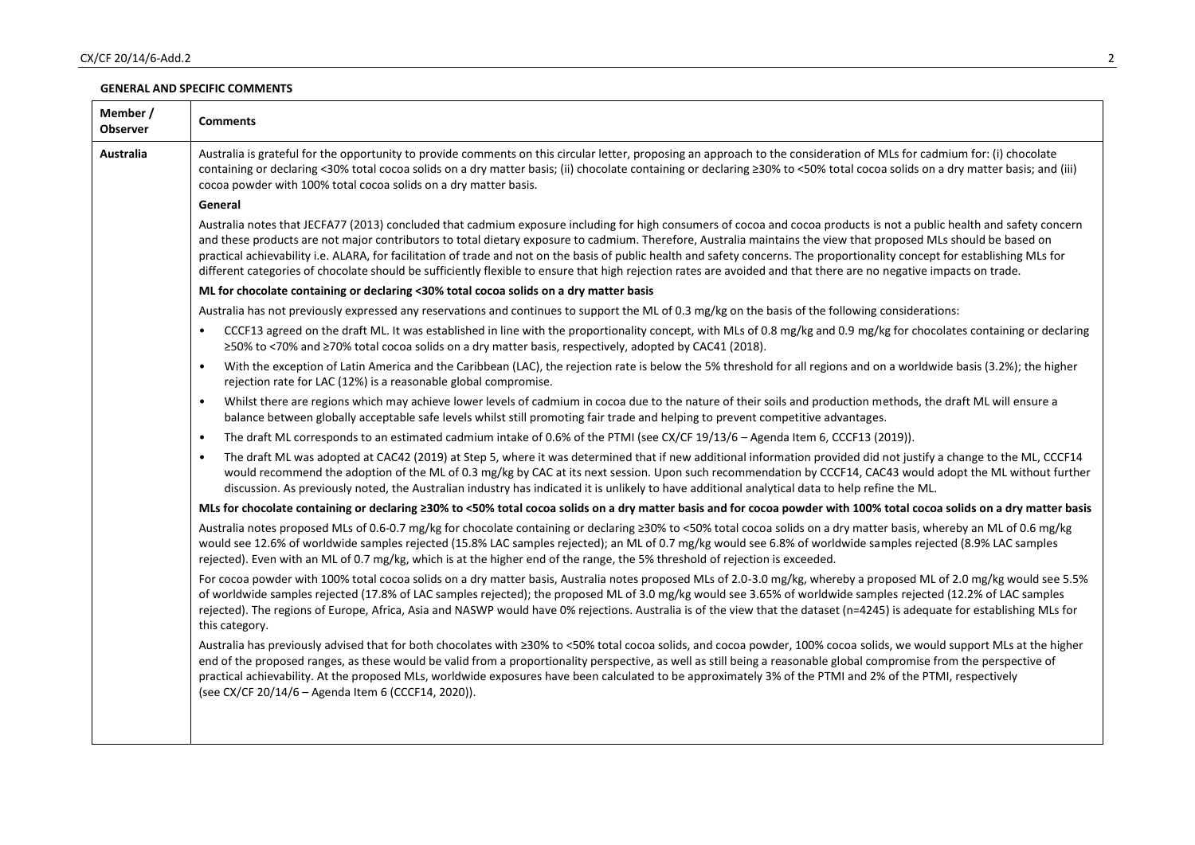## **GENERAL AND SPECIFIC COMMENTS**

| Member /<br><b>Observer</b> | <b>Comments</b>                                                                                                                                                                                                                                                                                                                                                                                                                                                                                                                                                                                                                                                                                   |
|-----------------------------|---------------------------------------------------------------------------------------------------------------------------------------------------------------------------------------------------------------------------------------------------------------------------------------------------------------------------------------------------------------------------------------------------------------------------------------------------------------------------------------------------------------------------------------------------------------------------------------------------------------------------------------------------------------------------------------------------|
| <b>Australia</b>            | Australia is grateful for the opportunity to provide comments on this circular letter, proposing an approach to the consideration of MLs for cadmium for: (i) chocolate<br>containing or declaring <30% total cocoa solids on a dry matter basis; (ii) chocolate containing or declaring ≥30% to <50% total cocoa solids on a dry matter basis; and (iii)<br>cocoa powder with 100% total cocoa solids on a dry matter basis.                                                                                                                                                                                                                                                                     |
|                             | General                                                                                                                                                                                                                                                                                                                                                                                                                                                                                                                                                                                                                                                                                           |
|                             | Australia notes that JECFA77 (2013) concluded that cadmium exposure including for high consumers of cocoa and cocoa products is not a public health and safety concern<br>and these products are not major contributors to total dietary exposure to cadmium. Therefore, Australia maintains the view that proposed MLs should be based on<br>practical achievability i.e. ALARA, for facilitation of trade and not on the basis of public health and safety concerns. The proportionality concept for establishing MLs for<br>different categories of chocolate should be sufficiently flexible to ensure that high rejection rates are avoided and that there are no negative impacts on trade. |
|                             | ML for chocolate containing or declaring <30% total cocoa solids on a dry matter basis                                                                                                                                                                                                                                                                                                                                                                                                                                                                                                                                                                                                            |
|                             | Australia has not previously expressed any reservations and continues to support the ML of 0.3 mg/kg on the basis of the following considerations:                                                                                                                                                                                                                                                                                                                                                                                                                                                                                                                                                |
|                             | CCCF13 agreed on the draft ML. It was established in line with the proportionality concept, with MLs of 0.8 mg/kg and 0.9 mg/kg for chocolates containing or declaring<br>$\bullet$<br>≥50% to <70% and ≥70% total cocoa solids on a dry matter basis, respectively, adopted by CAC41 (2018).                                                                                                                                                                                                                                                                                                                                                                                                     |
|                             | With the exception of Latin America and the Caribbean (LAC), the rejection rate is below the 5% threshold for all regions and on a worldwide basis (3.2%); the higher<br>$\bullet$<br>rejection rate for LAC (12%) is a reasonable global compromise.                                                                                                                                                                                                                                                                                                                                                                                                                                             |
|                             | Whilst there are regions which may achieve lower levels of cadmium in cocoa due to the nature of their soils and production methods, the draft ML will ensure a<br>$\bullet$<br>balance between globally acceptable safe levels whilst still promoting fair trade and helping to prevent competitive advantages.                                                                                                                                                                                                                                                                                                                                                                                  |
|                             | The draft ML corresponds to an estimated cadmium intake of 0.6% of the PTMI (see CX/CF 19/13/6 - Agenda Item 6, CCCF13 (2019)).<br>$\bullet$                                                                                                                                                                                                                                                                                                                                                                                                                                                                                                                                                      |
|                             | The draft ML was adopted at CAC42 (2019) at Step 5, where it was determined that if new additional information provided did not justify a change to the ML, CCCF14<br>$\bullet$<br>would recommend the adoption of the ML of 0.3 mg/kg by CAC at its next session. Upon such recommendation by CCCF14, CAC43 would adopt the ML without further<br>discussion. As previously noted, the Australian industry has indicated it is unlikely to have additional analytical data to help refine the ML.                                                                                                                                                                                                |
|                             | MLs for chocolate containing or declaring ≥30% to <50% total cocoa solids on a dry matter basis and for cocoa powder with 100% total cocoa solids on a dry matter basis                                                                                                                                                                                                                                                                                                                                                                                                                                                                                                                           |
|                             | Australia notes proposed MLs of 0.6-0.7 mg/kg for chocolate containing or declaring ≥30% to <50% total cocoa solids on a dry matter basis, whereby an ML of 0.6 mg/kg<br>would see 12.6% of worldwide samples rejected (15.8% LAC samples rejected); an ML of 0.7 mg/kg would see 6.8% of worldwide samples rejected (8.9% LAC samples<br>rejected). Even with an ML of 0.7 mg/kg, which is at the higher end of the range, the 5% threshold of rejection is exceeded.                                                                                                                                                                                                                            |
|                             | For cocoa powder with 100% total cocoa solids on a dry matter basis, Australia notes proposed MLs of 2.0-3.0 mg/kg, whereby a proposed ML of 2.0 mg/kg would see 5.5%<br>of worldwide samples rejected (17.8% of LAC samples rejected); the proposed ML of 3.0 mg/kg would see 3.65% of worldwide samples rejected (12.2% of LAC samples<br>rejected). The regions of Europe, Africa, Asia and NASWP would have 0% rejections. Australia is of the view that the dataset (n=4245) is adequate for establishing MLs for<br>this category.                                                                                                                                                          |
|                             | Australia has previously advised that for both chocolates with ≥30% to <50% total cocoa solids, and cocoa powder, 100% cocoa solids, we would support MLs at the higher<br>end of the proposed ranges, as these would be valid from a proportionality perspective, as well as still being a reasonable global compromise from the perspective of<br>practical achievability. At the proposed MLs, worldwide exposures have been calculated to be approximately 3% of the PTMI and 2% of the PTMI, respectively<br>(see CX/CF 20/14/6 - Agenda Item 6 (CCCF14, 2020)).                                                                                                                             |
|                             |                                                                                                                                                                                                                                                                                                                                                                                                                                                                                                                                                                                                                                                                                                   |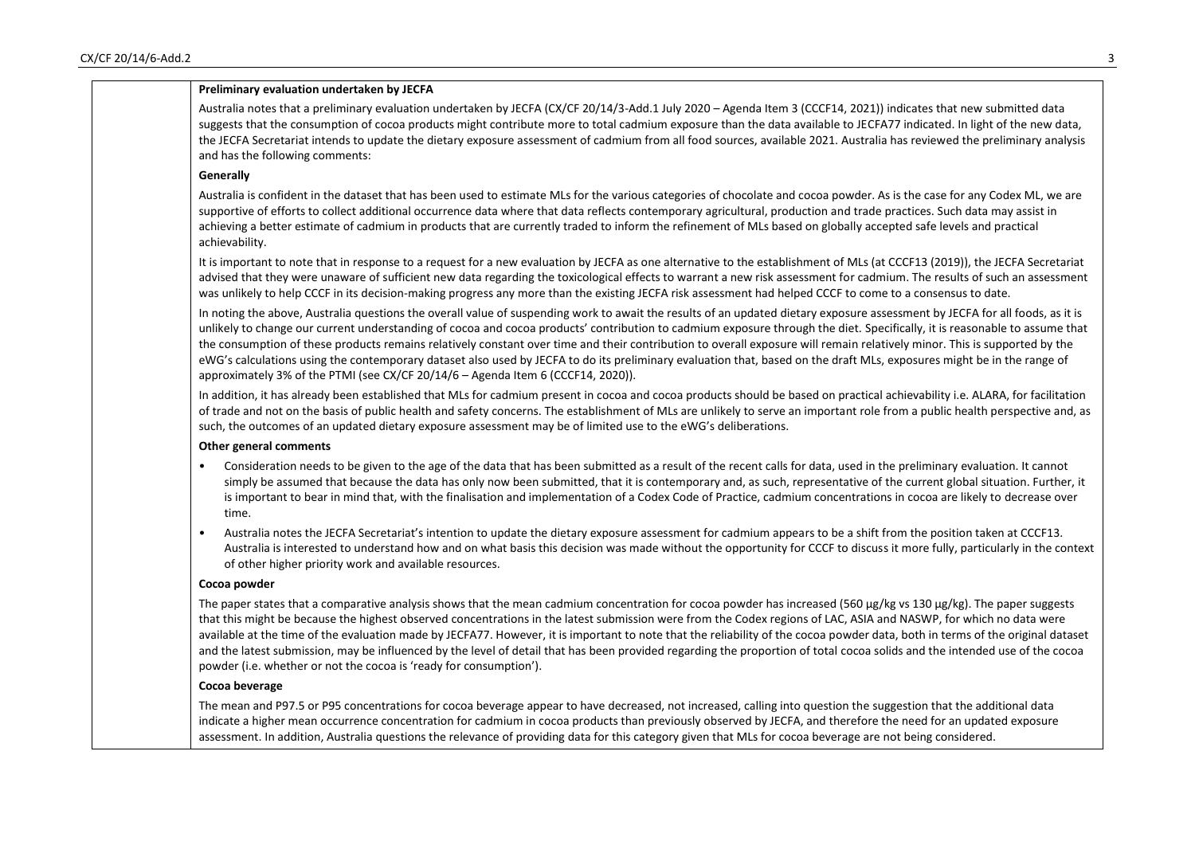|                | Preliminary evaluation undertaken by JECFA                                                                                                                                                                                                                                                                                                                                                                                                                                                                                                                                                                                                                                                                                                                                                             |
|----------------|--------------------------------------------------------------------------------------------------------------------------------------------------------------------------------------------------------------------------------------------------------------------------------------------------------------------------------------------------------------------------------------------------------------------------------------------------------------------------------------------------------------------------------------------------------------------------------------------------------------------------------------------------------------------------------------------------------------------------------------------------------------------------------------------------------|
|                | Australia notes that a preliminary evaluation undertaken by JECFA (CX/CF 20/14/3-Add.1 July 2020 - Agenda Item 3 (CCCF14, 2021)) indicates that new submitted data<br>suggests that the consumption of cocoa products might contribute more to total cadmium exposure than the data available to JECFA77 indicated. In light of the new data,<br>the JECFA Secretariat intends to update the dietary exposure assessment of cadmium from all food sources, available 2021. Australia has reviewed the preliminary analysis<br>and has the following comments:                                                                                                                                                                                                                                          |
| Generally      |                                                                                                                                                                                                                                                                                                                                                                                                                                                                                                                                                                                                                                                                                                                                                                                                        |
| achievability. | Australia is confident in the dataset that has been used to estimate MLs for the various categories of chocolate and cocoa powder. As is the case for any Codex ML, we are<br>supportive of efforts to collect additional occurrence data where that data reflects contemporary agricultural, production and trade practices. Such data may assist in<br>achieving a better estimate of cadmium in products that are currently traded to inform the refinement of MLs based on globally accepted safe levels and practical                                                                                                                                                                                                                                                                             |
|                | It is important to note that in response to a request for a new evaluation by JECFA as one alternative to the establishment of MLs (at CCCF13 (2019)), the JECFA Secretariat<br>advised that they were unaware of sufficient new data regarding the toxicological effects to warrant a new risk assessment for cadmium. The results of such an assessment<br>was unlikely to help CCCF in its decision-making progress any more than the existing JECFA risk assessment had helped CCCF to come to a consensus to date.                                                                                                                                                                                                                                                                                |
|                | In noting the above, Australia questions the overall value of suspending work to await the results of an updated dietary exposure assessment by JECFA for all foods, as it is<br>unlikely to change our current understanding of cocoa and cocoa products' contribution to cadmium exposure through the diet. Specifically, it is reasonable to assume that<br>the consumption of these products remains relatively constant over time and their contribution to overall exposure will remain relatively minor. This is supported by the<br>eWG's calculations using the contemporary dataset also used by JECFA to do its preliminary evaluation that, based on the draft MLs, exposures might be in the range of<br>approximately 3% of the PTMI (see CX/CF 20/14/6 - Agenda Item 6 (CCCF14, 2020)). |
|                | In addition, it has already been established that MLs for cadmium present in cocoa and cocoa products should be based on practical achievability i.e. ALARA, for facilitation<br>of trade and not on the basis of public health and safety concerns. The establishment of MLs are unlikely to serve an important role from a public health perspective and, as<br>such, the outcomes of an updated dietary exposure assessment may be of limited use to the eWG's deliberations.                                                                                                                                                                                                                                                                                                                       |
|                | <b>Other general comments</b>                                                                                                                                                                                                                                                                                                                                                                                                                                                                                                                                                                                                                                                                                                                                                                          |
| time.          | Consideration needs to be given to the age of the data that has been submitted as a result of the recent calls for data, used in the preliminary evaluation. It cannot<br>simply be assumed that because the data has only now been submitted, that it is contemporary and, as such, representative of the current global situation. Further, it<br>is important to bear in mind that, with the finalisation and implementation of a Codex Code of Practice, cadmium concentrations in cocoa are likely to decrease over                                                                                                                                                                                                                                                                               |
| $\bullet$      | Australia notes the JECFA Secretariat's intention to update the dietary exposure assessment for cadmium appears to be a shift from the position taken at CCCF13.<br>Australia is interested to understand how and on what basis this decision was made without the opportunity for CCCF to discuss it more fully, particularly in the context<br>of other higher priority work and available resources.                                                                                                                                                                                                                                                                                                                                                                                                |
| Cocoa powder   |                                                                                                                                                                                                                                                                                                                                                                                                                                                                                                                                                                                                                                                                                                                                                                                                        |
|                | The paper states that a comparative analysis shows that the mean cadmium concentration for cocoa powder has increased (560 µg/kg vs 130 µg/kg). The paper suggests<br>that this might be because the highest observed concentrations in the latest submission were from the Codex regions of LAC, ASIA and NASWP, for which no data were<br>available at the time of the evaluation made by JECFA77. However, it is important to note that the reliability of the cocoa powder data, both in terms of the original dataset<br>and the latest submission, may be influenced by the level of detail that has been provided regarding the proportion of total cocoa solids and the intended use of the cocoa<br>powder (i.e. whether or not the cocoa is 'ready for consumption').                        |
|                | Cocoa beverage                                                                                                                                                                                                                                                                                                                                                                                                                                                                                                                                                                                                                                                                                                                                                                                         |
|                | The mean and P97.5 or P95 concentrations for cocoa beverage appear to have decreased, not increased, calling into question the suggestion that the additional data<br>indicate a higher mean occurrence concentration for cadmium in cocoa products than previously observed by JECFA, and therefore the need for an updated exposure<br>assessment. In addition, Australia questions the relevance of providing data for this category given that MLs for cocoa beverage are not being considered.                                                                                                                                                                                                                                                                                                    |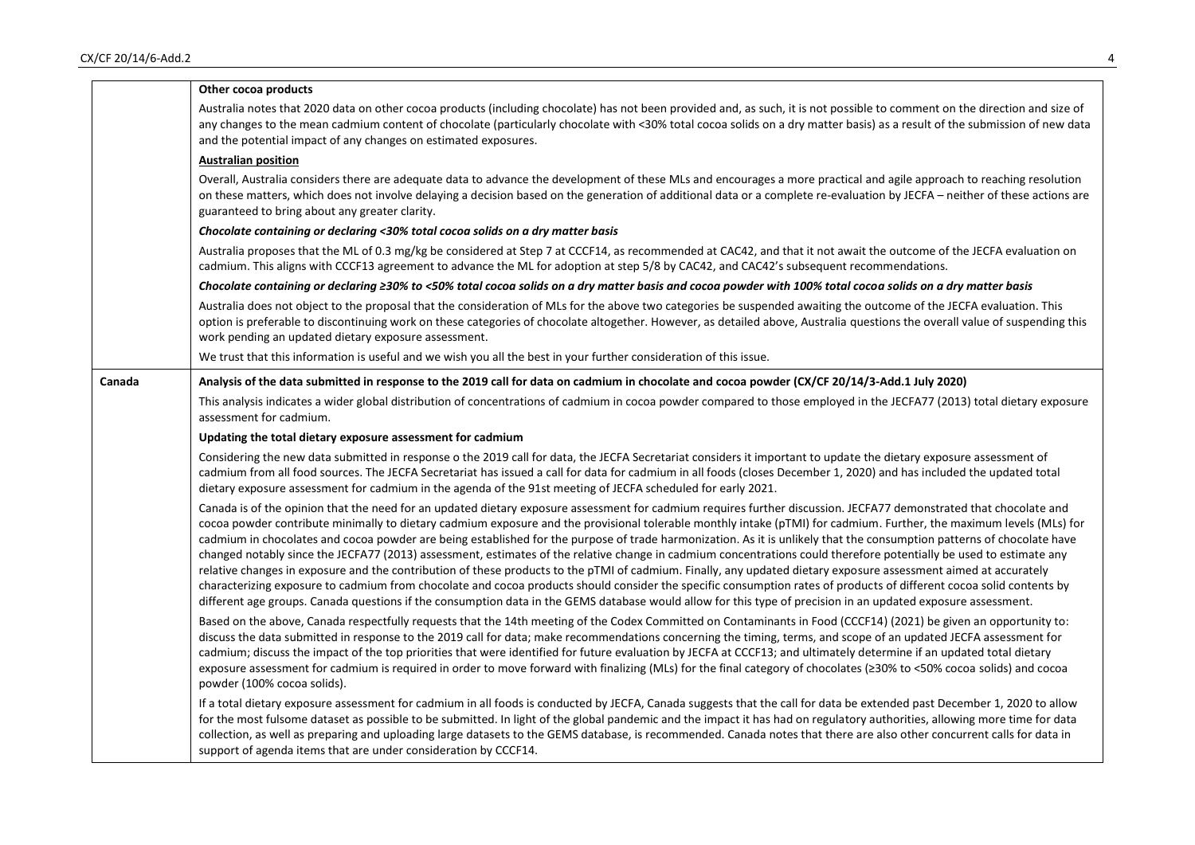|        | Other cocoa products                                                                                                                                                                                                                                                                                                                                                                                                                                                                                                                                                                                                                                                                                                                                                                                                                                                                                                                                                                                                                                                                                                                                                                                     |
|--------|----------------------------------------------------------------------------------------------------------------------------------------------------------------------------------------------------------------------------------------------------------------------------------------------------------------------------------------------------------------------------------------------------------------------------------------------------------------------------------------------------------------------------------------------------------------------------------------------------------------------------------------------------------------------------------------------------------------------------------------------------------------------------------------------------------------------------------------------------------------------------------------------------------------------------------------------------------------------------------------------------------------------------------------------------------------------------------------------------------------------------------------------------------------------------------------------------------|
|        | Australia notes that 2020 data on other cocoa products (including chocolate) has not been provided and, as such, it is not possible to comment on the direction and size of<br>any changes to the mean cadmium content of chocolate (particularly chocolate with <30% total cocoa solids on a dry matter basis) as a result of the submission of new data<br>and the potential impact of any changes on estimated exposures.                                                                                                                                                                                                                                                                                                                                                                                                                                                                                                                                                                                                                                                                                                                                                                             |
|        | <b>Australian position</b>                                                                                                                                                                                                                                                                                                                                                                                                                                                                                                                                                                                                                                                                                                                                                                                                                                                                                                                                                                                                                                                                                                                                                                               |
|        | Overall, Australia considers there are adequate data to advance the development of these MLs and encourages a more practical and agile approach to reaching resolution<br>on these matters, which does not involve delaying a decision based on the generation of additional data or a complete re-evaluation by JECFA - neither of these actions are<br>guaranteed to bring about any greater clarity.                                                                                                                                                                                                                                                                                                                                                                                                                                                                                                                                                                                                                                                                                                                                                                                                  |
|        | Chocolate containing or declaring <30% total cocoa solids on a dry matter basis                                                                                                                                                                                                                                                                                                                                                                                                                                                                                                                                                                                                                                                                                                                                                                                                                                                                                                                                                                                                                                                                                                                          |
|        | Australia proposes that the ML of 0.3 mg/kg be considered at Step 7 at CCCF14, as recommended at CAC42, and that it not await the outcome of the JECFA evaluation on<br>cadmium. This aligns with CCCF13 agreement to advance the ML for adoption at step 5/8 by CAC42, and CAC42's subsequent recommendations.                                                                                                                                                                                                                                                                                                                                                                                                                                                                                                                                                                                                                                                                                                                                                                                                                                                                                          |
|        | Chocolate containing or declaring ≥30% to <50% total cocoa solids on a dry matter basis and cocoa powder with 100% total cocoa solids on a dry matter basis                                                                                                                                                                                                                                                                                                                                                                                                                                                                                                                                                                                                                                                                                                                                                                                                                                                                                                                                                                                                                                              |
|        | Australia does not object to the proposal that the consideration of MLs for the above two categories be suspended awaiting the outcome of the JECFA evaluation. This<br>option is preferable to discontinuing work on these categories of chocolate altogether. However, as detailed above, Australia questions the overall value of suspending this<br>work pending an updated dietary exposure assessment.                                                                                                                                                                                                                                                                                                                                                                                                                                                                                                                                                                                                                                                                                                                                                                                             |
|        | We trust that this information is useful and we wish you all the best in your further consideration of this issue.                                                                                                                                                                                                                                                                                                                                                                                                                                                                                                                                                                                                                                                                                                                                                                                                                                                                                                                                                                                                                                                                                       |
| Canada | Analysis of the data submitted in response to the 2019 call for data on cadmium in chocolate and cocoa powder (CX/CF 20/14/3-Add.1 July 2020)                                                                                                                                                                                                                                                                                                                                                                                                                                                                                                                                                                                                                                                                                                                                                                                                                                                                                                                                                                                                                                                            |
|        | This analysis indicates a wider global distribution of concentrations of cadmium in cocoa powder compared to those employed in the JECFA77 (2013) total dietary exposure<br>assessment for cadmium.                                                                                                                                                                                                                                                                                                                                                                                                                                                                                                                                                                                                                                                                                                                                                                                                                                                                                                                                                                                                      |
|        | Updating the total dietary exposure assessment for cadmium                                                                                                                                                                                                                                                                                                                                                                                                                                                                                                                                                                                                                                                                                                                                                                                                                                                                                                                                                                                                                                                                                                                                               |
|        | Considering the new data submitted in response o the 2019 call for data, the JECFA Secretariat considers it important to update the dietary exposure assessment of<br>cadmium from all food sources. The JECFA Secretariat has issued a call for data for cadmium in all foods (closes December 1, 2020) and has included the updated total<br>dietary exposure assessment for cadmium in the agenda of the 91st meeting of JECFA scheduled for early 2021.                                                                                                                                                                                                                                                                                                                                                                                                                                                                                                                                                                                                                                                                                                                                              |
|        | Canada is of the opinion that the need for an updated dietary exposure assessment for cadmium requires further discussion. JECFA77 demonstrated that chocolate and<br>cocoa powder contribute minimally to dietary cadmium exposure and the provisional tolerable monthly intake (pTMI) for cadmium. Further, the maximum levels (MLs) for<br>cadmium in chocolates and cocoa powder are being established for the purpose of trade harmonization. As it is unlikely that the consumption patterns of chocolate have<br>changed notably since the JECFA77 (2013) assessment, estimates of the relative change in cadmium concentrations could therefore potentially be used to estimate any<br>relative changes in exposure and the contribution of these products to the pTMI of cadmium. Finally, any updated dietary exposure assessment aimed at accurately<br>characterizing exposure to cadmium from chocolate and cocoa products should consider the specific consumption rates of products of different cocoa solid contents by<br>different age groups. Canada questions if the consumption data in the GEMS database would allow for this type of precision in an updated exposure assessment. |
|        | Based on the above, Canada respectfully requests that the 14th meeting of the Codex Committed on Contaminants in Food (CCCF14) (2021) be given an opportunity to:<br>discuss the data submitted in response to the 2019 call for data; make recommendations concerning the timing, terms, and scope of an updated JECFA assessment for<br>cadmium; discuss the impact of the top priorities that were identified for future evaluation by JECFA at CCCF13; and ultimately determine if an updated total dietary<br>exposure assessment for cadmium is required in order to move forward with finalizing (MLs) for the final category of chocolates (≥30% to <50% cocoa solids) and cocoa<br>powder (100% cocoa solids).                                                                                                                                                                                                                                                                                                                                                                                                                                                                                  |
|        | If a total dietary exposure assessment for cadmium in all foods is conducted by JECFA, Canada suggests that the call for data be extended past December 1, 2020 to allow<br>for the most fulsome dataset as possible to be submitted. In light of the global pandemic and the impact it has had on regulatory authorities, allowing more time for data<br>collection, as well as preparing and uploading large datasets to the GEMS database, is recommended. Canada notes that there are also other concurrent calls for data in<br>support of agenda items that are under consideration by CCCF14.                                                                                                                                                                                                                                                                                                                                                                                                                                                                                                                                                                                                     |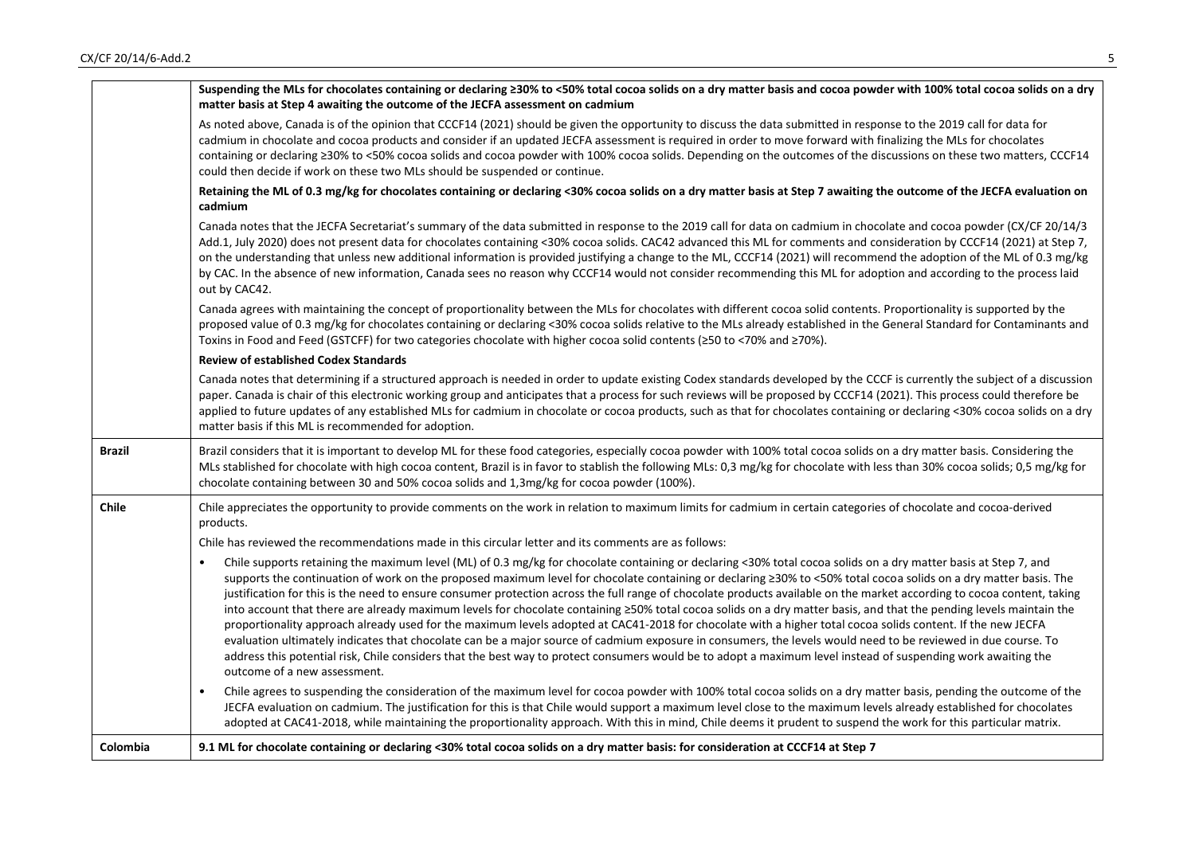|               | Suspending the MLs for chocolates containing or declaring ≥30% to <50% total cocoa solids on a dry matter basis and cocoa powder with 100% total cocoa solids on a dry<br>matter basis at Step 4 awaiting the outcome of the JECFA assessment on cadmium                                                                                                                                                                                                                                                                                                                                                                                                                                                                                                                                                                                                                                                                                                                                                                                                                                                                                                                                                               |
|---------------|------------------------------------------------------------------------------------------------------------------------------------------------------------------------------------------------------------------------------------------------------------------------------------------------------------------------------------------------------------------------------------------------------------------------------------------------------------------------------------------------------------------------------------------------------------------------------------------------------------------------------------------------------------------------------------------------------------------------------------------------------------------------------------------------------------------------------------------------------------------------------------------------------------------------------------------------------------------------------------------------------------------------------------------------------------------------------------------------------------------------------------------------------------------------------------------------------------------------|
|               | As noted above, Canada is of the opinion that CCCF14 (2021) should be given the opportunity to discuss the data submitted in response to the 2019 call for data for<br>cadmium in chocolate and cocoa products and consider if an updated JECFA assessment is required in order to move forward with finalizing the MLs for chocolates<br>containing or declaring ≥30% to <50% cocoa solids and cocoa powder with 100% cocoa solids. Depending on the outcomes of the discussions on these two matters, CCCF14<br>could then decide if work on these two MLs should be suspended or continue.                                                                                                                                                                                                                                                                                                                                                                                                                                                                                                                                                                                                                          |
|               | Retaining the ML of 0.3 mg/kg for chocolates containing or declaring <30% cocoa solids on a dry matter basis at Step 7 awaiting the outcome of the JECFA evaluation on<br>cadmium                                                                                                                                                                                                                                                                                                                                                                                                                                                                                                                                                                                                                                                                                                                                                                                                                                                                                                                                                                                                                                      |
|               | Canada notes that the JECFA Secretariat's summary of the data submitted in response to the 2019 call for data on cadmium in chocolate and cocoa powder (CX/CF 20/14/3<br>Add.1, July 2020) does not present data for chocolates containing <30% cocoa solids. CAC42 advanced this ML for comments and consideration by CCCF14 (2021) at Step 7,<br>on the understanding that unless new additional information is provided justifying a change to the ML, CCCF14 (2021) will recommend the adoption of the ML of 0.3 mg/kg<br>by CAC. In the absence of new information, Canada sees no reason why CCCF14 would not consider recommending this ML for adoption and according to the process laid<br>out by CAC42.                                                                                                                                                                                                                                                                                                                                                                                                                                                                                                      |
|               | Canada agrees with maintaining the concept of proportionality between the MLs for chocolates with different cocoa solid contents. Proportionality is supported by the<br>proposed value of 0.3 mg/kg for chocolates containing or declaring <30% cocoa solids relative to the MLs already established in the General Standard for Contaminants and<br>Toxins in Food and Feed (GSTCFF) for two categories chocolate with higher cocoa solid contents (≥50 to <70% and ≥70%).                                                                                                                                                                                                                                                                                                                                                                                                                                                                                                                                                                                                                                                                                                                                           |
|               | <b>Review of established Codex Standards</b>                                                                                                                                                                                                                                                                                                                                                                                                                                                                                                                                                                                                                                                                                                                                                                                                                                                                                                                                                                                                                                                                                                                                                                           |
|               | Canada notes that determining if a structured approach is needed in order to update existing Codex standards developed by the CCCF is currently the subject of a discussion<br>paper. Canada is chair of this electronic working group and anticipates that a process for such reviews will be proposed by CCCF14 (2021). This process could therefore be<br>applied to future updates of any established MLs for cadmium in chocolate or cocoa products, such as that for chocolates containing or declaring <30% cocoa solids on a dry<br>matter basis if this ML is recommended for adoption.                                                                                                                                                                                                                                                                                                                                                                                                                                                                                                                                                                                                                       |
| <b>Brazil</b> | Brazil considers that it is important to develop ML for these food categories, especially cocoa powder with 100% total cocoa solids on a dry matter basis. Considering the<br>MLs stablished for chocolate with high cocoa content, Brazil is in favor to stablish the following MLs: 0,3 mg/kg for chocolate with less than 30% cocoa solids; 0,5 mg/kg for<br>chocolate containing between 30 and 50% cocoa solids and 1,3mg/kg for cocoa powder (100%).                                                                                                                                                                                                                                                                                                                                                                                                                                                                                                                                                                                                                                                                                                                                                             |
| <b>Chile</b>  | Chile appreciates the opportunity to provide comments on the work in relation to maximum limits for cadmium in certain categories of chocolate and cocoa-derived<br>products.                                                                                                                                                                                                                                                                                                                                                                                                                                                                                                                                                                                                                                                                                                                                                                                                                                                                                                                                                                                                                                          |
|               | Chile has reviewed the recommendations made in this circular letter and its comments are as follows:                                                                                                                                                                                                                                                                                                                                                                                                                                                                                                                                                                                                                                                                                                                                                                                                                                                                                                                                                                                                                                                                                                                   |
|               | Chile supports retaining the maximum level (ML) of 0.3 mg/kg for chocolate containing or declaring <30% total cocoa solids on a dry matter basis at Step 7, and<br>supports the continuation of work on the proposed maximum level for chocolate containing or declaring ≥30% to <50% total cocoa solids on a dry matter basis. The<br>justification for this is the need to ensure consumer protection across the full range of chocolate products available on the market according to cocoa content, taking<br>into account that there are already maximum levels for chocolate containing ≥50% total cocoa solids on a dry matter basis, and that the pending levels maintain the<br>proportionality approach already used for the maximum levels adopted at CAC41-2018 for chocolate with a higher total cocoa solids content. If the new JECFA<br>evaluation ultimately indicates that chocolate can be a major source of cadmium exposure in consumers, the levels would need to be reviewed in due course. To<br>address this potential risk, Chile considers that the best way to protect consumers would be to adopt a maximum level instead of suspending work awaiting the<br>outcome of a new assessment. |
|               | Chile agrees to suspending the consideration of the maximum level for cocoa powder with 100% total cocoa solids on a dry matter basis, pending the outcome of the<br>JECFA evaluation on cadmium. The justification for this is that Chile would support a maximum level close to the maximum levels already established for chocolates<br>adopted at CAC41-2018, while maintaining the proportionality approach. With this in mind, Chile deems it prudent to suspend the work for this particular matrix.                                                                                                                                                                                                                                                                                                                                                                                                                                                                                                                                                                                                                                                                                                            |
| Colombia      | 9.1 ML for chocolate containing or declaring <30% total cocoa solids on a dry matter basis: for consideration at CCCF14 at Step 7                                                                                                                                                                                                                                                                                                                                                                                                                                                                                                                                                                                                                                                                                                                                                                                                                                                                                                                                                                                                                                                                                      |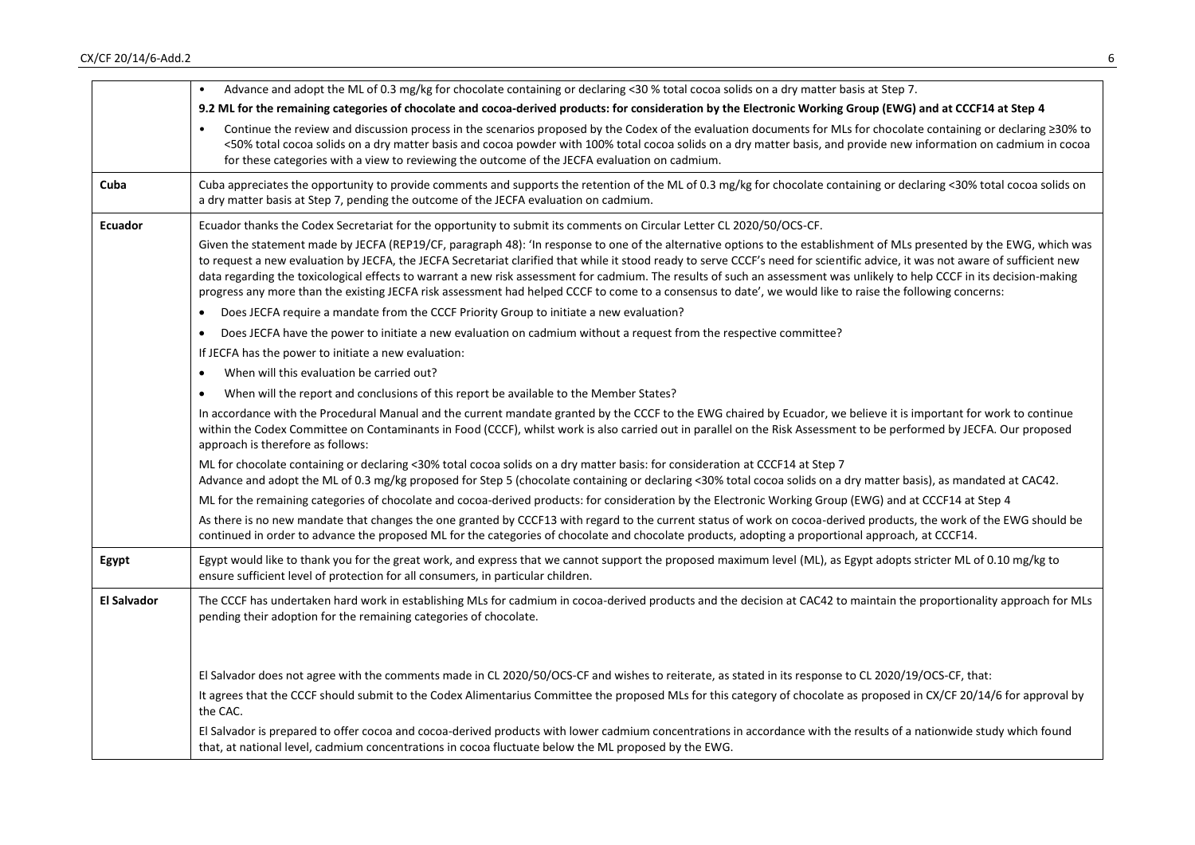## $CX/CF$  20/14/6-Add.2 6

|                    | Advance and adopt the ML of 0.3 mg/kg for chocolate containing or declaring <30 % total cocoa solids on a dry matter basis at Step 7.<br>$\bullet$                                                                                                                                                                                                                                                                                                                                                                                                                                                                                                                                                 |
|--------------------|----------------------------------------------------------------------------------------------------------------------------------------------------------------------------------------------------------------------------------------------------------------------------------------------------------------------------------------------------------------------------------------------------------------------------------------------------------------------------------------------------------------------------------------------------------------------------------------------------------------------------------------------------------------------------------------------------|
|                    | 9.2 ML for the remaining categories of chocolate and cocoa-derived products: for consideration by the Electronic Working Group (EWG) and at CCCF14 at Step 4                                                                                                                                                                                                                                                                                                                                                                                                                                                                                                                                       |
|                    | Continue the review and discussion process in the scenarios proposed by the Codex of the evaluation documents for MLs for chocolate containing or declaring ≥30% to<br><50% total cocoa solids on a dry matter basis and cocoa powder with 100% total cocoa solids on a dry matter basis, and provide new information on cadmium in cocoa<br>for these categories with a view to reviewing the outcome of the JECFA evaluation on cadmium.                                                                                                                                                                                                                                                         |
| Cuba               | Cuba appreciates the opportunity to provide comments and supports the retention of the ML of 0.3 mg/kg for chocolate containing or declaring <30% total cocoa solids on<br>a dry matter basis at Step 7, pending the outcome of the JECFA evaluation on cadmium.                                                                                                                                                                                                                                                                                                                                                                                                                                   |
| <b>Ecuador</b>     | Ecuador thanks the Codex Secretariat for the opportunity to submit its comments on Circular Letter CL 2020/50/OCS-CF.                                                                                                                                                                                                                                                                                                                                                                                                                                                                                                                                                                              |
|                    | Given the statement made by JECFA (REP19/CF, paragraph 48): 'In response to one of the alternative options to the establishment of MLs presented by the EWG, which was<br>to request a new evaluation by JECFA, the JECFA Secretariat clarified that while it stood ready to serve CCCF's need for scientific advice, it was not aware of sufficient new<br>data regarding the toxicological effects to warrant a new risk assessment for cadmium. The results of such an assessment was unlikely to help CCCF in its decision-making<br>progress any more than the existing JECFA risk assessment had helped CCCF to come to a consensus to date', we would like to raise the following concerns: |
|                    | Does JECFA require a mandate from the CCCF Priority Group to initiate a new evaluation?                                                                                                                                                                                                                                                                                                                                                                                                                                                                                                                                                                                                            |
|                    | Does JECFA have the power to initiate a new evaluation on cadmium without a request from the respective committee?<br>$\bullet$                                                                                                                                                                                                                                                                                                                                                                                                                                                                                                                                                                    |
|                    | If JECFA has the power to initiate a new evaluation:                                                                                                                                                                                                                                                                                                                                                                                                                                                                                                                                                                                                                                               |
|                    | When will this evaluation be carried out?<br>$\bullet$                                                                                                                                                                                                                                                                                                                                                                                                                                                                                                                                                                                                                                             |
|                    | When will the report and conclusions of this report be available to the Member States?<br>$\bullet$                                                                                                                                                                                                                                                                                                                                                                                                                                                                                                                                                                                                |
|                    | In accordance with the Procedural Manual and the current mandate granted by the CCCF to the EWG chaired by Ecuador, we believe it is important for work to continue<br>within the Codex Committee on Contaminants in Food (CCCF), whilst work is also carried out in parallel on the Risk Assessment to be performed by JECFA. Our proposed<br>approach is therefore as follows:                                                                                                                                                                                                                                                                                                                   |
|                    | ML for chocolate containing or declaring <30% total cocoa solids on a dry matter basis: for consideration at CCCF14 at Step 7                                                                                                                                                                                                                                                                                                                                                                                                                                                                                                                                                                      |
|                    | Advance and adopt the ML of 0.3 mg/kg proposed for Step 5 (chocolate containing or declaring <30% total cocoa solids on a dry matter basis), as mandated at CAC42.                                                                                                                                                                                                                                                                                                                                                                                                                                                                                                                                 |
|                    | ML for the remaining categories of chocolate and cocoa-derived products: for consideration by the Electronic Working Group (EWG) and at CCCF14 at Step 4                                                                                                                                                                                                                                                                                                                                                                                                                                                                                                                                           |
|                    | As there is no new mandate that changes the one granted by CCCF13 with regard to the current status of work on cocoa-derived products, the work of the EWG should be<br>continued in order to advance the proposed ML for the categories of chocolate and chocolate products, adopting a proportional approach, at CCCF14.                                                                                                                                                                                                                                                                                                                                                                         |
| Egypt              | Egypt would like to thank you for the great work, and express that we cannot support the proposed maximum level (ML), as Egypt adopts stricter ML of 0.10 mg/kg to<br>ensure sufficient level of protection for all consumers, in particular children.                                                                                                                                                                                                                                                                                                                                                                                                                                             |
| <b>El Salvador</b> | The CCCF has undertaken hard work in establishing MLs for cadmium in cocoa-derived products and the decision at CAC42 to maintain the proportionality approach for MLs<br>pending their adoption for the remaining categories of chocolate.                                                                                                                                                                                                                                                                                                                                                                                                                                                        |
|                    | El Salvador does not agree with the comments made in CL 2020/50/OCS-CF and wishes to reiterate, as stated in its response to CL 2020/19/OCS-CF, that:                                                                                                                                                                                                                                                                                                                                                                                                                                                                                                                                              |
|                    | It agrees that the CCCF should submit to the Codex Alimentarius Committee the proposed MLs for this category of chocolate as proposed in CX/CF 20/14/6 for approval by<br>the CAC.                                                                                                                                                                                                                                                                                                                                                                                                                                                                                                                 |
|                    | El Salvador is prepared to offer cocoa and cocoa-derived products with lower cadmium concentrations in accordance with the results of a nationwide study which found<br>that, at national level, cadmium concentrations in cocoa fluctuate below the ML proposed by the EWG.                                                                                                                                                                                                                                                                                                                                                                                                                       |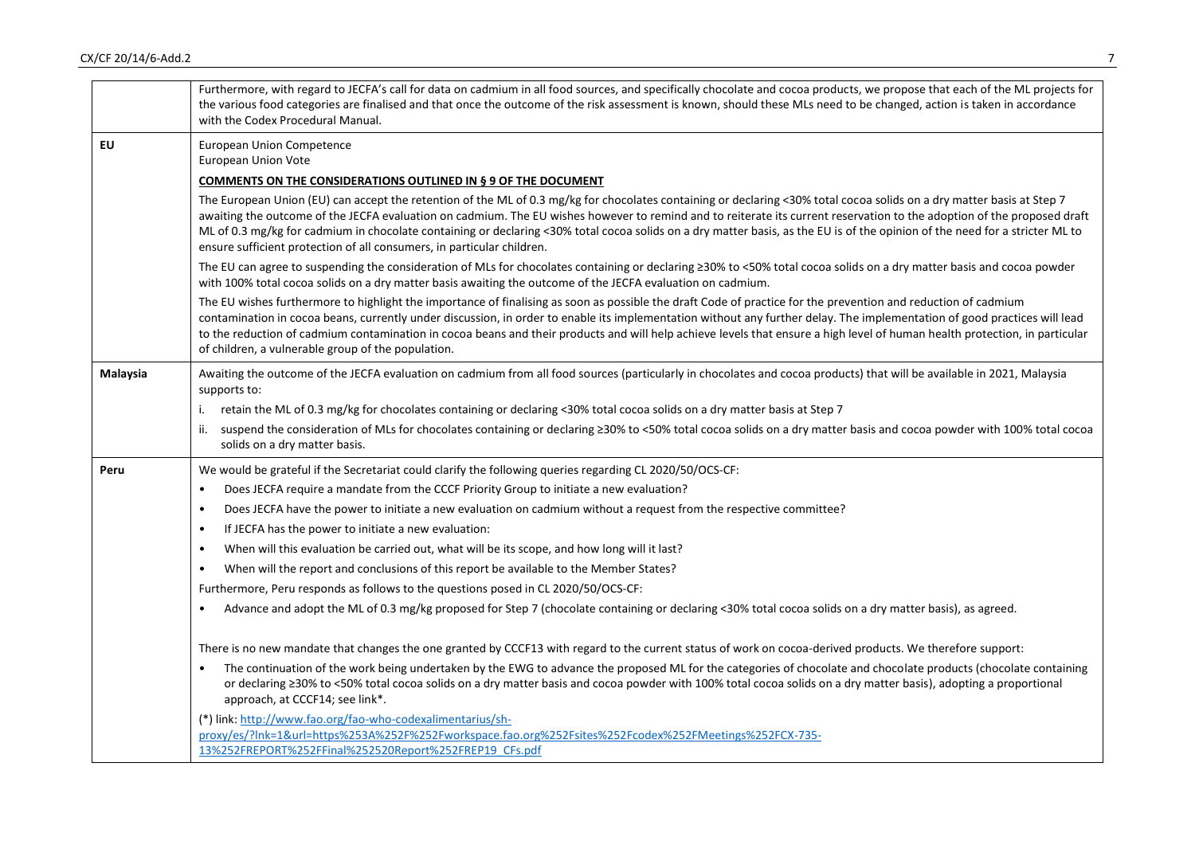|           | Furthermore, with regard to JECFA's call for data on cadmium in all food sources, and specifically chocolate and cocoa products, we propose that each of the ML projects for<br>the various food categories are finalised and that once the outcome of the risk assessment is known, should these MLs need to be changed, action is taken in accordance<br>with the Codex Procedural Manual.                                                                                                                                                                                                                |
|-----------|-------------------------------------------------------------------------------------------------------------------------------------------------------------------------------------------------------------------------------------------------------------------------------------------------------------------------------------------------------------------------------------------------------------------------------------------------------------------------------------------------------------------------------------------------------------------------------------------------------------|
| <b>EU</b> | <b>European Union Competence</b><br>European Union Vote                                                                                                                                                                                                                                                                                                                                                                                                                                                                                                                                                     |
|           | COMMENTS ON THE CONSIDERATIONS OUTLINED IN § 9 OF THE DOCUMENT                                                                                                                                                                                                                                                                                                                                                                                                                                                                                                                                              |
|           | The European Union (EU) can accept the retention of the ML of 0.3 mg/kg for chocolates containing or declaring <30% total cocoa solids on a dry matter basis at Step 7<br>awaiting the outcome of the JECFA evaluation on cadmium. The EU wishes however to remind and to reiterate its current reservation to the adoption of the proposed draft<br>ML of 0.3 mg/kg for cadmium in chocolate containing or declaring <30% total cocoa solids on a dry matter basis, as the EU is of the opinion of the need for a stricter ML to<br>ensure sufficient protection of all consumers, in particular children. |
|           | The EU can agree to suspending the consideration of MLs for chocolates containing or declaring ≥30% to <50% total cocoa solids on a dry matter basis and cocoa powder<br>with 100% total cocoa solids on a dry matter basis awaiting the outcome of the JECFA evaluation on cadmium.                                                                                                                                                                                                                                                                                                                        |
|           | The EU wishes furthermore to highlight the importance of finalising as soon as possible the draft Code of practice for the prevention and reduction of cadmium<br>contamination in cocoa beans, currently under discussion, in order to enable its implementation without any further delay. The implementation of good practices will lead<br>to the reduction of cadmium contamination in cocoa beans and their products and will help achieve levels that ensure a high level of human health protection, in particular<br>of children, a vulnerable group of the population.                            |
| Malaysia  | Awaiting the outcome of the JECFA evaluation on cadmium from all food sources (particularly in chocolates and cocoa products) that will be available in 2021, Malaysia<br>supports to:                                                                                                                                                                                                                                                                                                                                                                                                                      |
|           | retain the ML of 0.3 mg/kg for chocolates containing or declaring <30% total cocoa solids on a dry matter basis at Step 7<br>i.                                                                                                                                                                                                                                                                                                                                                                                                                                                                             |
|           | suspend the consideration of MLs for chocolates containing or declaring ≥30% to <50% total cocoa solids on a dry matter basis and cocoa powder with 100% total cocoa<br>ii.<br>solids on a dry matter basis.                                                                                                                                                                                                                                                                                                                                                                                                |
| Peru      | We would be grateful if the Secretariat could clarify the following queries regarding CL 2020/50/OCS-CF:                                                                                                                                                                                                                                                                                                                                                                                                                                                                                                    |
|           | Does JECFA require a mandate from the CCCF Priority Group to initiate a new evaluation?<br>$\bullet$                                                                                                                                                                                                                                                                                                                                                                                                                                                                                                        |
|           | Does JECFA have the power to initiate a new evaluation on cadmium without a request from the respective committee?<br>$\bullet$                                                                                                                                                                                                                                                                                                                                                                                                                                                                             |
|           | If JECFA has the power to initiate a new evaluation:                                                                                                                                                                                                                                                                                                                                                                                                                                                                                                                                                        |
|           | When will this evaluation be carried out, what will be its scope, and how long will it last?<br>$\bullet$                                                                                                                                                                                                                                                                                                                                                                                                                                                                                                   |
|           | When will the report and conclusions of this report be available to the Member States?<br>$\bullet$                                                                                                                                                                                                                                                                                                                                                                                                                                                                                                         |
|           | Furthermore, Peru responds as follows to the questions posed in CL 2020/50/OCS-CF:                                                                                                                                                                                                                                                                                                                                                                                                                                                                                                                          |
|           | Advance and adopt the ML of 0.3 mg/kg proposed for Step 7 (chocolate containing or declaring <30% total cocoa solids on a dry matter basis), as agreed.<br>$\bullet$                                                                                                                                                                                                                                                                                                                                                                                                                                        |
|           | There is no new mandate that changes the one granted by CCCF13 with regard to the current status of work on cocoa-derived products. We therefore support:                                                                                                                                                                                                                                                                                                                                                                                                                                                   |
|           | The continuation of the work being undertaken by the EWG to advance the proposed ML for the categories of chocolate and chocolate products (chocolate containing<br>or declaring ≥30% to <50% total cocoa solids on a dry matter basis and cocoa powder with 100% total cocoa solids on a dry matter basis), adopting a proportional<br>approach, at CCCF14; see link*.                                                                                                                                                                                                                                     |
|           | (*) link: http://www.fao.org/fao-who-codexalimentarius/sh-<br>proxy/es/?lnk=1&url=https%253A%252F%252Fworkspace.fao.org%252Fsites%252Fcodex%252FMeetings%252FCX-735-<br>13%252FREPORT%252FFinal%252520Report%252FREP19 CFs.pdf                                                                                                                                                                                                                                                                                                                                                                              |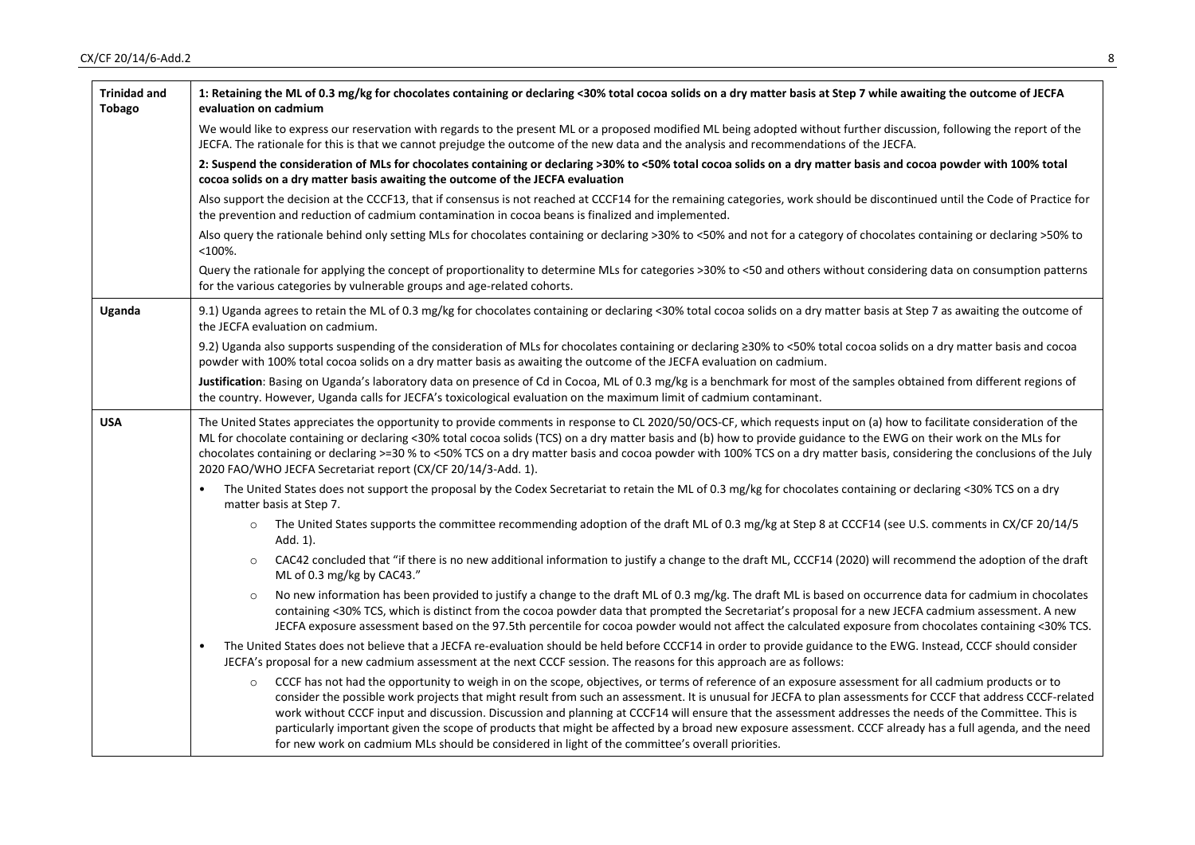| <b>Trinidad and</b><br><b>Tobago</b> | 1: Retaining the ML of 0.3 mg/kg for chocolates containing or declaring <30% total cocoa solids on a dry matter basis at Step 7 while awaiting the outcome of JECFA<br>evaluation on cadmium                                                                                                                                                                                                                                                                                                                                                                                                                                                                                                                                                                   |
|--------------------------------------|----------------------------------------------------------------------------------------------------------------------------------------------------------------------------------------------------------------------------------------------------------------------------------------------------------------------------------------------------------------------------------------------------------------------------------------------------------------------------------------------------------------------------------------------------------------------------------------------------------------------------------------------------------------------------------------------------------------------------------------------------------------|
|                                      | We would like to express our reservation with regards to the present ML or a proposed modified ML being adopted without further discussion, following the report of the<br>JECFA. The rationale for this is that we cannot prejudge the outcome of the new data and the analysis and recommendations of the JECFA.                                                                                                                                                                                                                                                                                                                                                                                                                                             |
|                                      | 2: Suspend the consideration of MLs for chocolates containing or declaring >30% to <50% total cocoa solids on a dry matter basis and cocoa powder with 100% total<br>cocoa solids on a dry matter basis awaiting the outcome of the JECFA evaluation                                                                                                                                                                                                                                                                                                                                                                                                                                                                                                           |
|                                      | Also support the decision at the CCCF13, that if consensus is not reached at CCCF14 for the remaining categories, work should be discontinued until the Code of Practice for<br>the prevention and reduction of cadmium contamination in cocoa beans is finalized and implemented.                                                                                                                                                                                                                                                                                                                                                                                                                                                                             |
|                                      | Also query the rationale behind only setting MLs for chocolates containing or declaring >30% to <50% and not for a category of chocolates containing or declaring >50% to<br>$<$ 100%.                                                                                                                                                                                                                                                                                                                                                                                                                                                                                                                                                                         |
|                                      | Query the rationale for applying the concept of proportionality to determine MLs for categories >30% to <50 and others without considering data on consumption patterns<br>for the various categories by vulnerable groups and age-related cohorts.                                                                                                                                                                                                                                                                                                                                                                                                                                                                                                            |
| Uganda                               | 9.1) Uganda agrees to retain the ML of 0.3 mg/kg for chocolates containing or declaring <30% total cocoa solids on a dry matter basis at Step 7 as awaiting the outcome of<br>the JECFA evaluation on cadmium.                                                                                                                                                                                                                                                                                                                                                                                                                                                                                                                                                 |
|                                      | 9.2) Uganda also supports suspending of the consideration of MLs for chocolates containing or declaring ≥30% to <50% total cocoa solids on a dry matter basis and cocoa<br>powder with 100% total cocoa solids on a dry matter basis as awaiting the outcome of the JECFA evaluation on cadmium.                                                                                                                                                                                                                                                                                                                                                                                                                                                               |
|                                      | Justification: Basing on Uganda's laboratory data on presence of Cd in Cocoa, ML of 0.3 mg/kg is a benchmark for most of the samples obtained from different regions of<br>the country. However, Uganda calls for JECFA's toxicological evaluation on the maximum limit of cadmium contaminant.                                                                                                                                                                                                                                                                                                                                                                                                                                                                |
| <b>USA</b>                           | The United States appreciates the opportunity to provide comments in response to CL 2020/50/OCS-CF, which requests input on (a) how to facilitate consideration of the<br>ML for chocolate containing or declaring <30% total cocoa solids (TCS) on a dry matter basis and (b) how to provide guidance to the EWG on their work on the MLs for<br>chocolates containing or declaring >=30 % to <50% TCS on a dry matter basis and cocoa powder with 100% TCS on a dry matter basis, considering the conclusions of the July<br>2020 FAO/WHO JECFA Secretariat report (CX/CF 20/14/3-Add. 1).                                                                                                                                                                   |
|                                      | The United States does not support the proposal by the Codex Secretariat to retain the ML of 0.3 mg/kg for chocolates containing or declaring <30% TCS on a dry<br>matter basis at Step 7.                                                                                                                                                                                                                                                                                                                                                                                                                                                                                                                                                                     |
|                                      | The United States supports the committee recommending adoption of the draft ML of 0.3 mg/kg at Step 8 at CCCF14 (see U.S. comments in CX/CF 20/14/5<br>$\circ$<br>Add. 1).                                                                                                                                                                                                                                                                                                                                                                                                                                                                                                                                                                                     |
|                                      | CAC42 concluded that "if there is no new additional information to justify a change to the draft ML, CCCF14 (2020) will recommend the adoption of the draft<br>$\circ$<br>ML of 0.3 mg/kg by CAC43."                                                                                                                                                                                                                                                                                                                                                                                                                                                                                                                                                           |
|                                      | No new information has been provided to justify a change to the draft ML of 0.3 mg/kg. The draft ML is based on occurrence data for cadmium in chocolates<br>$\circ$<br>containing <30% TCS, which is distinct from the cocoa powder data that prompted the Secretariat's proposal for a new JECFA cadmium assessment. A new<br>JECFA exposure assessment based on the 97.5th percentile for cocoa powder would not affect the calculated exposure from chocolates containing <30% TCS.                                                                                                                                                                                                                                                                        |
|                                      | The United States does not believe that a JECFA re-evaluation should be held before CCCF14 in order to provide guidance to the EWG. Instead, CCCF should consider<br>JECFA's proposal for a new cadmium assessment at the next CCCF session. The reasons for this approach are as follows:                                                                                                                                                                                                                                                                                                                                                                                                                                                                     |
|                                      | CCCF has not had the opportunity to weigh in on the scope, objectives, or terms of reference of an exposure assessment for all cadmium products or to<br>$\circ$<br>consider the possible work projects that might result from such an assessment. It is unusual for JECFA to plan assessments for CCCF that address CCCF-related<br>work without CCCF input and discussion. Discussion and planning at CCCF14 will ensure that the assessment addresses the needs of the Committee. This is<br>particularly important given the scope of products that might be affected by a broad new exposure assessment. CCCF already has a full agenda, and the need<br>for new work on cadmium MLs should be considered in light of the committee's overall priorities. |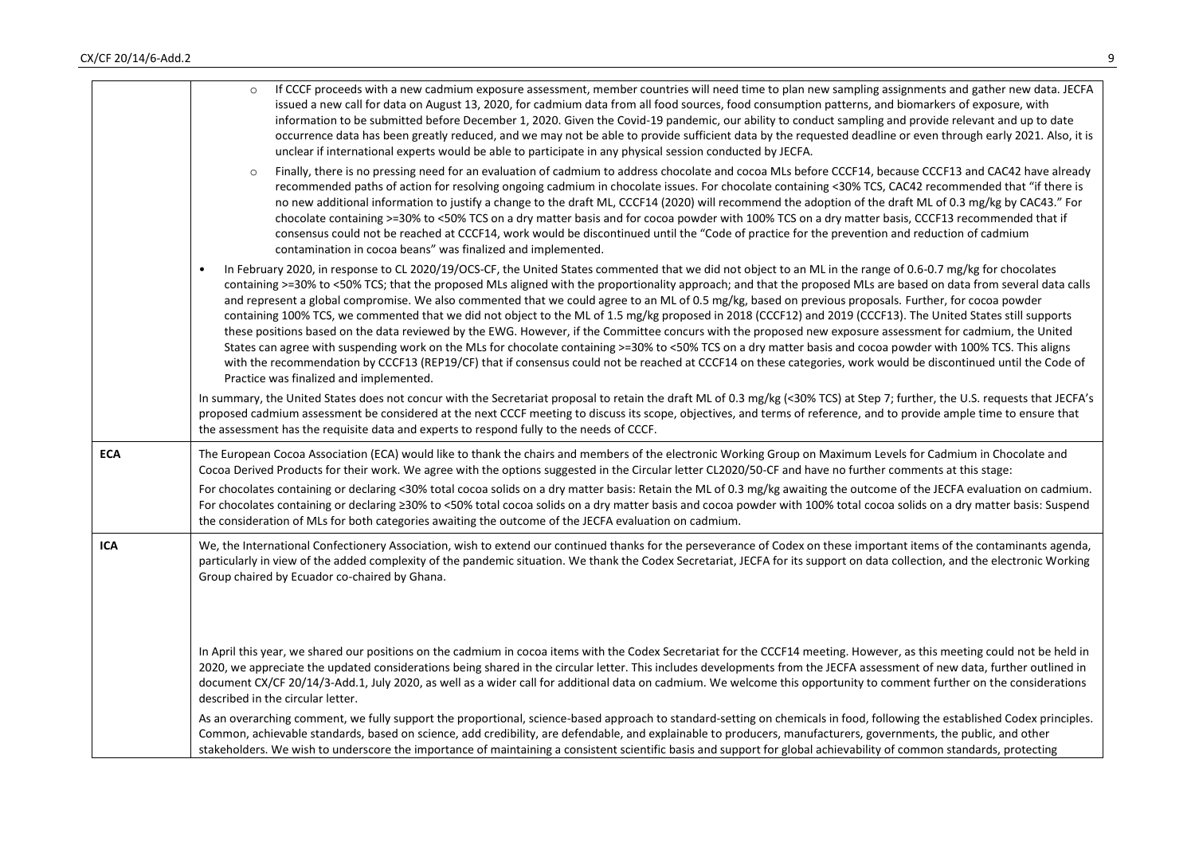|            | If CCCF proceeds with a new cadmium exposure assessment, member countries will need time to plan new sampling assignments and gather new data. JECFA<br>issued a new call for data on August 13, 2020, for cadmium data from all food sources, food consumption patterns, and biomarkers of exposure, with<br>information to be submitted before December 1, 2020. Given the Covid-19 pandemic, our ability to conduct sampling and provide relevant and up to date<br>occurrence data has been greatly reduced, and we may not be able to provide sufficient data by the requested deadline or even through early 2021. Also, it is<br>unclear if international experts would be able to participate in any physical session conducted by JECFA.                                                                                                                                                                                                                                                                                                                                                                                                                                                          |
|------------|------------------------------------------------------------------------------------------------------------------------------------------------------------------------------------------------------------------------------------------------------------------------------------------------------------------------------------------------------------------------------------------------------------------------------------------------------------------------------------------------------------------------------------------------------------------------------------------------------------------------------------------------------------------------------------------------------------------------------------------------------------------------------------------------------------------------------------------------------------------------------------------------------------------------------------------------------------------------------------------------------------------------------------------------------------------------------------------------------------------------------------------------------------------------------------------------------------|
|            | Finally, there is no pressing need for an evaluation of cadmium to address chocolate and cocoa MLs before CCCF14, because CCCF13 and CAC42 have already<br>$\circ$<br>recommended paths of action for resolving ongoing cadmium in chocolate issues. For chocolate containing <30% TCS, CAC42 recommended that "if there is<br>no new additional information to justify a change to the draft ML, CCCF14 (2020) will recommend the adoption of the draft ML of 0.3 mg/kg by CAC43." For<br>chocolate containing >=30% to <50% TCS on a dry matter basis and for cocoa powder with 100% TCS on a dry matter basis, CCCF13 recommended that if<br>consensus could not be reached at CCCF14, work would be discontinued until the "Code of practice for the prevention and reduction of cadmium<br>contamination in cocoa beans" was finalized and implemented.                                                                                                                                                                                                                                                                                                                                               |
|            | In February 2020, in response to CL 2020/19/OCS-CF, the United States commented that we did not object to an ML in the range of 0.6-0.7 mg/kg for chocolates<br>containing >=30% to <50% TCS; that the proposed MLs aligned with the proportionality approach; and that the proposed MLs are based on data from several data calls<br>and represent a global compromise. We also commented that we could agree to an ML of 0.5 mg/kg, based on previous proposals. Further, for cocoa powder<br>containing 100% TCS, we commented that we did not object to the ML of 1.5 mg/kg proposed in 2018 (CCCF12) and 2019 (CCCF13). The United States still supports<br>these positions based on the data reviewed by the EWG. However, if the Committee concurs with the proposed new exposure assessment for cadmium, the United<br>States can agree with suspending work on the MLs for chocolate containing >=30% to <50% TCS on a dry matter basis and cocoa powder with 100% TCS. This aligns<br>with the recommendation by CCCF13 (REP19/CF) that if consensus could not be reached at CCCF14 on these categories, work would be discontinued until the Code of<br>Practice was finalized and implemented. |
|            | In summary, the United States does not concur with the Secretariat proposal to retain the draft ML of 0.3 mg/kg (<30% TCS) at Step 7; further, the U.S. requests that JECFA's<br>proposed cadmium assessment be considered at the next CCCF meeting to discuss its scope, objectives, and terms of reference, and to provide ample time to ensure that<br>the assessment has the requisite data and experts to respond fully to the needs of CCCF.                                                                                                                                                                                                                                                                                                                                                                                                                                                                                                                                                                                                                                                                                                                                                         |
| <b>ECA</b> | The European Cocoa Association (ECA) would like to thank the chairs and members of the electronic Working Group on Maximum Levels for Cadmium in Chocolate and<br>Cocoa Derived Products for their work. We agree with the options suggested in the Circular letter CL2020/50-CF and have no further comments at this stage:                                                                                                                                                                                                                                                                                                                                                                                                                                                                                                                                                                                                                                                                                                                                                                                                                                                                               |
|            | For chocolates containing or declaring <30% total cocoa solids on a dry matter basis: Retain the ML of 0.3 mg/kg awaiting the outcome of the JECFA evaluation on cadmium.<br>For chocolates containing or declaring ≥30% to <50% total cocoa solids on a dry matter basis and cocoa powder with 100% total cocoa solids on a dry matter basis: Suspend<br>the consideration of MLs for both categories awaiting the outcome of the JECFA evaluation on cadmium.                                                                                                                                                                                                                                                                                                                                                                                                                                                                                                                                                                                                                                                                                                                                            |
| <b>ICA</b> | We, the International Confectionery Association, wish to extend our continued thanks for the perseverance of Codex on these important items of the contaminants agenda,<br>particularly in view of the added complexity of the pandemic situation. We thank the Codex Secretariat, JECFA for its support on data collection, and the electronic Working<br>Group chaired by Ecuador co-chaired by Ghana.                                                                                                                                                                                                                                                                                                                                                                                                                                                                                                                                                                                                                                                                                                                                                                                                   |
|            | In April this year, we shared our positions on the cadmium in cocoa items with the Codex Secretariat for the CCCF14 meeting. However, as this meeting could not be held in<br>2020, we appreciate the updated considerations being shared in the circular letter. This includes developments from the JECFA assessment of new data, further outlined in<br>document CX/CF 20/14/3-Add.1, July 2020, as well as a wider call for additional data on cadmium. We welcome this opportunity to comment further on the considerations<br>described in the circular letter.                                                                                                                                                                                                                                                                                                                                                                                                                                                                                                                                                                                                                                      |
|            | As an overarching comment, we fully support the proportional, science-based approach to standard-setting on chemicals in food, following the established Codex principles.<br>Common, achievable standards, based on science, add credibility, are defendable, and explainable to producers, manufacturers, governments, the public, and other<br>stakeholders. We wish to underscore the importance of maintaining a consistent scientific basis and support for global achievability of common standards, protecting                                                                                                                                                                                                                                                                                                                                                                                                                                                                                                                                                                                                                                                                                     |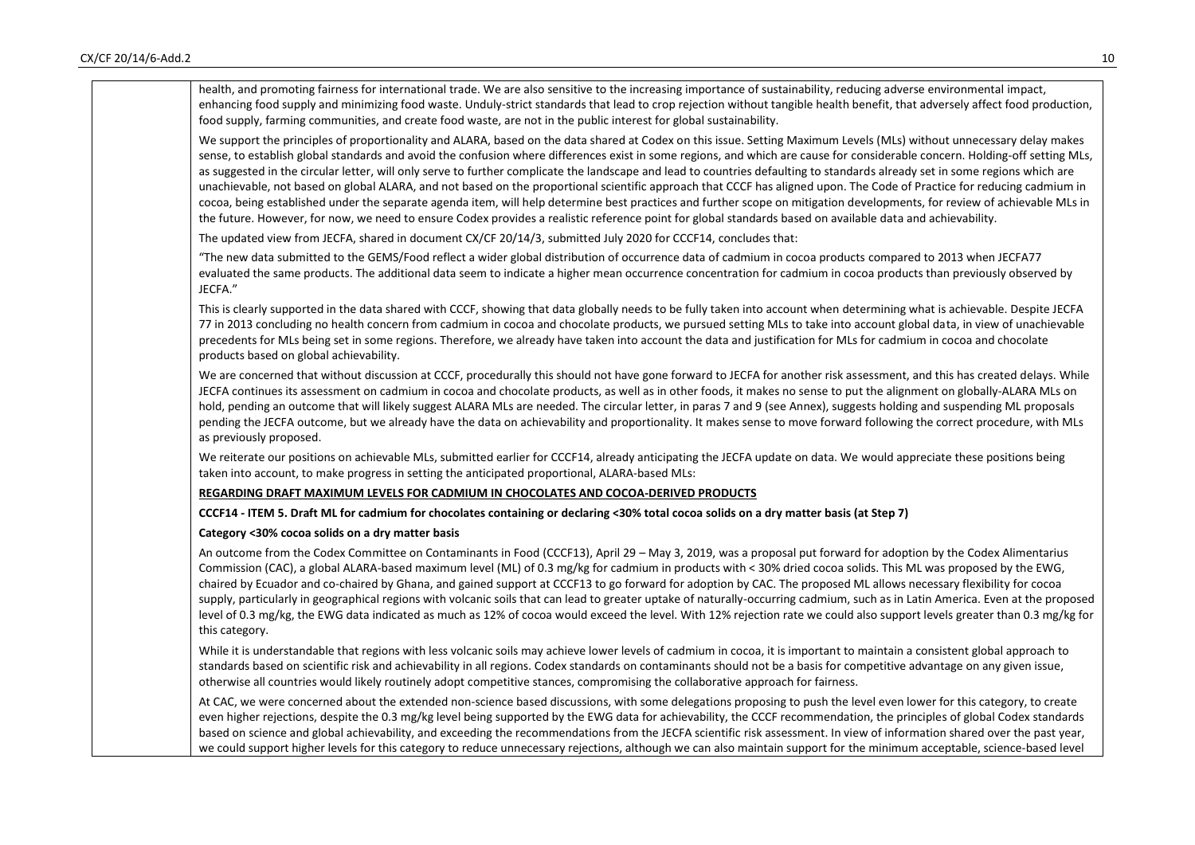| health, and promoting fairness for international trade. We are also sensitive to the increasing importance of sustainability, reducing adverse environmental impact,<br>enhancing food supply and minimizing food waste. Unduly-strict standards that lead to crop rejection without tangible health benefit, that adversely affect food production,<br>food supply, farming communities, and create food waste, are not in the public interest for global sustainability.                                                                                                                                                                                                                                                                                                                                                                                                                                                                                                                                                                                  |  |
|-------------------------------------------------------------------------------------------------------------------------------------------------------------------------------------------------------------------------------------------------------------------------------------------------------------------------------------------------------------------------------------------------------------------------------------------------------------------------------------------------------------------------------------------------------------------------------------------------------------------------------------------------------------------------------------------------------------------------------------------------------------------------------------------------------------------------------------------------------------------------------------------------------------------------------------------------------------------------------------------------------------------------------------------------------------|--|
| We support the principles of proportionality and ALARA, based on the data shared at Codex on this issue. Setting Maximum Levels (MLs) without unnecessary delay makes<br>sense, to establish global standards and avoid the confusion where differences exist in some regions, and which are cause for considerable concern. Holding-off setting MLs,<br>as suggested in the circular letter, will only serve to further complicate the landscape and lead to countries defaulting to standards already set in some regions which are<br>unachievable, not based on global ALARA, and not based on the proportional scientific approach that CCCF has aligned upon. The Code of Practice for reducing cadmium in<br>cocoa, being established under the separate agenda item, will help determine best practices and further scope on mitigation developments, for review of achievable MLs in<br>the future. However, for now, we need to ensure Codex provides a realistic reference point for global standards based on available data and achievability. |  |
| The updated view from JECFA, shared in document CX/CF 20/14/3, submitted July 2020 for CCCF14, concludes that:                                                                                                                                                                                                                                                                                                                                                                                                                                                                                                                                                                                                                                                                                                                                                                                                                                                                                                                                              |  |
| "The new data submitted to the GEMS/Food reflect a wider global distribution of occurrence data of cadmium in cocoa products compared to 2013 when JECFA77<br>evaluated the same products. The additional data seem to indicate a higher mean occurrence concentration for cadmium in cocoa products than previously observed by<br>JECFA."                                                                                                                                                                                                                                                                                                                                                                                                                                                                                                                                                                                                                                                                                                                 |  |
| This is clearly supported in the data shared with CCCF, showing that data globally needs to be fully taken into account when determining what is achievable. Despite JECFA<br>77 in 2013 concluding no health concern from cadmium in cocoa and chocolate products, we pursued setting MLs to take into account global data, in view of unachievable<br>precedents for MLs being set in some regions. Therefore, we already have taken into account the data and justification for MLs for cadmium in cocoa and chocolate<br>products based on global achievability.                                                                                                                                                                                                                                                                                                                                                                                                                                                                                        |  |
| We are concerned that without discussion at CCCF, procedurally this should not have gone forward to JECFA for another risk assessment, and this has created delays. While<br>JECFA continues its assessment on cadmium in cocoa and chocolate products, as well as in other foods, it makes no sense to put the alignment on globally-ALARA MLs on<br>hold, pending an outcome that will likely suggest ALARA MLs are needed. The circular letter, in paras 7 and 9 (see Annex), suggests holding and suspending ML proposals<br>pending the JECFA outcome, but we already have the data on achievability and proportionality. It makes sense to move forward following the correct procedure, with MLs<br>as previously proposed.                                                                                                                                                                                                                                                                                                                          |  |
| We reiterate our positions on achievable MLs, submitted earlier for CCCF14, already anticipating the JECFA update on data. We would appreciate these positions being<br>taken into account, to make progress in setting the anticipated proportional, ALARA-based MLs:                                                                                                                                                                                                                                                                                                                                                                                                                                                                                                                                                                                                                                                                                                                                                                                      |  |
| REGARDING DRAFT MAXIMUM LEVELS FOR CADMIUM IN CHOCOLATES AND COCOA-DERIVED PRODUCTS                                                                                                                                                                                                                                                                                                                                                                                                                                                                                                                                                                                                                                                                                                                                                                                                                                                                                                                                                                         |  |
| CCCF14 - ITEM 5. Draft ML for cadmium for chocolates containing or declaring <30% total cocoa solids on a dry matter basis (at Step 7)                                                                                                                                                                                                                                                                                                                                                                                                                                                                                                                                                                                                                                                                                                                                                                                                                                                                                                                      |  |
| Category <30% cocoa solids on a dry matter basis                                                                                                                                                                                                                                                                                                                                                                                                                                                                                                                                                                                                                                                                                                                                                                                                                                                                                                                                                                                                            |  |
| An outcome from the Codex Committee on Contaminants in Food (CCCF13), April 29 - May 3, 2019, was a proposal put forward for adoption by the Codex Alimentarius<br>Commission (CAC), a global ALARA-based maximum level (ML) of 0.3 mg/kg for cadmium in products with < 30% dried cocoa solids. This ML was proposed by the EWG,<br>chaired by Ecuador and co-chaired by Ghana, and gained support at CCCF13 to go forward for adoption by CAC. The proposed ML allows necessary flexibility for cocoa<br>supply, particularly in geographical regions with volcanic soils that can lead to greater uptake of naturally-occurring cadmium, such as in Latin America. Even at the proposed<br>level of 0.3 mg/kg, the EWG data indicated as much as 12% of cocoa would exceed the level. With 12% rejection rate we could also support levels greater than 0.3 mg/kg for<br>this category.                                                                                                                                                                  |  |
| While it is understandable that regions with less volcanic soils may achieve lower levels of cadmium in cocoa, it is important to maintain a consistent global approach to<br>standards based on scientific risk and achievability in all regions. Codex standards on contaminants should not be a basis for competitive advantage on any given issue,<br>otherwise all countries would likely routinely adopt competitive stances, compromising the collaborative approach for fairness.                                                                                                                                                                                                                                                                                                                                                                                                                                                                                                                                                                   |  |
| At CAC, we were concerned about the extended non-science based discussions, with some delegations proposing to push the level even lower for this category, to create<br>even higher rejections, despite the 0.3 mg/kg level being supported by the EWG data for achievability, the CCCF recommendation, the principles of global Codex standards<br>based on science and global achievability, and exceeding the recommendations from the JECFA scientific risk assessment. In view of information shared over the past year,<br>we could support higher levels for this category to reduce unnecessary rejections, although we can also maintain support for the minimum acceptable, science-based level                                                                                                                                                                                                                                                                                                                                                  |  |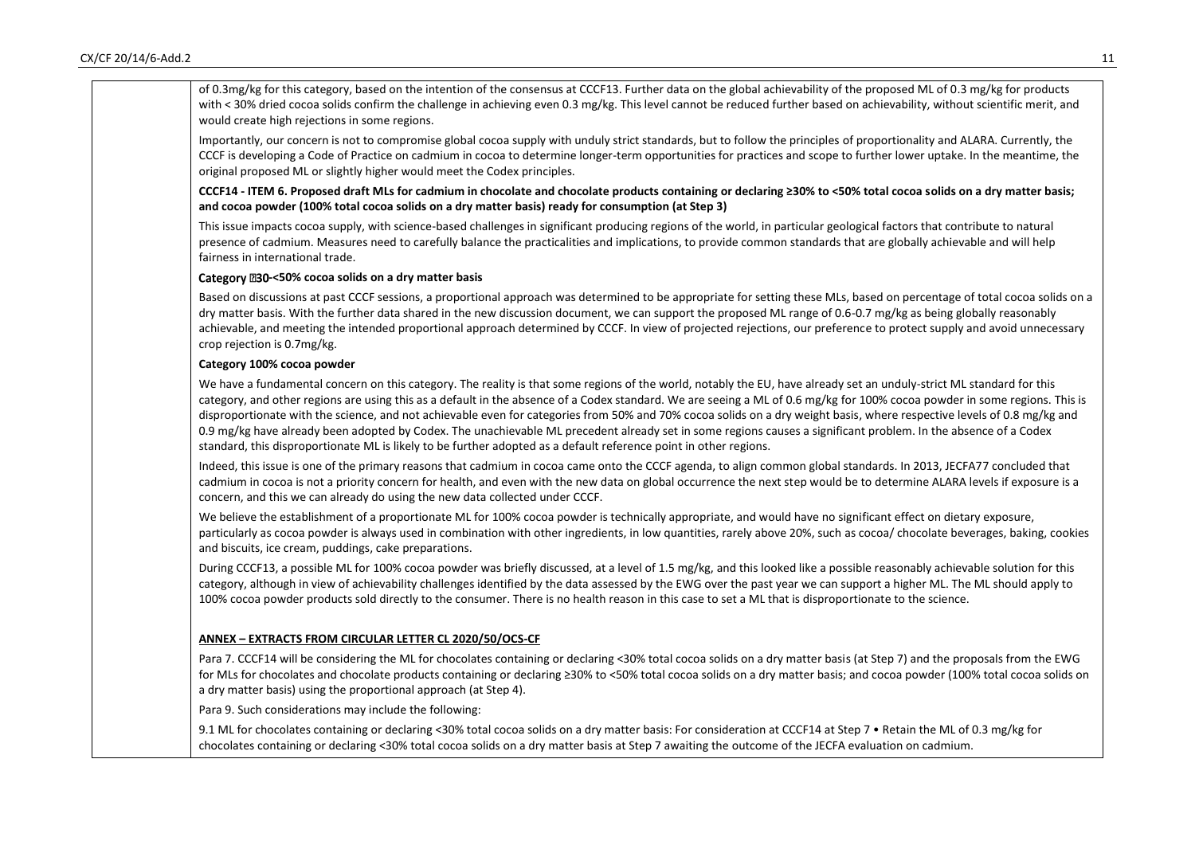| of 0.3mg/kg for this category, based on the intention of the consensus at CCCF13. Further data on the global achievability of the proposed ML of 0.3 mg/kg for products<br>with < 30% dried cocoa solids confirm the challenge in achieving even 0.3 mg/kg. This level cannot be reduced further based on achievability, without scientific merit, and<br>would create high rejections in some regions.                                                                                                                                                                                                                                                                                                                                                                                                                |
|------------------------------------------------------------------------------------------------------------------------------------------------------------------------------------------------------------------------------------------------------------------------------------------------------------------------------------------------------------------------------------------------------------------------------------------------------------------------------------------------------------------------------------------------------------------------------------------------------------------------------------------------------------------------------------------------------------------------------------------------------------------------------------------------------------------------|
| Importantly, our concern is not to compromise global cocoa supply with unduly strict standards, but to follow the principles of proportionality and ALARA. Currently, the<br>CCCF is developing a Code of Practice on cadmium in cocoa to determine longer-term opportunities for practices and scope to further lower uptake. In the meantime, the<br>original proposed ML or slightly higher would meet the Codex principles.                                                                                                                                                                                                                                                                                                                                                                                        |
| CCCF14 - ITEM 6. Proposed draft MLs for cadmium in chocolate and chocolate products containing or declaring ≥30% to <50% total cocoa solids on a dry matter basis;<br>and cocoa powder (100% total cocoa solids on a dry matter basis) ready for consumption (at Step 3)                                                                                                                                                                                                                                                                                                                                                                                                                                                                                                                                               |
| This issue impacts cocoa supply, with science-based challenges in significant producing regions of the world, in particular geological factors that contribute to natural<br>presence of cadmium. Measures need to carefully balance the practicalities and implications, to provide common standards that are globally achievable and will help<br>fairness in international trade.                                                                                                                                                                                                                                                                                                                                                                                                                                   |
| Category 230-<50% cocoa solids on a dry matter basis                                                                                                                                                                                                                                                                                                                                                                                                                                                                                                                                                                                                                                                                                                                                                                   |
| Based on discussions at past CCCF sessions, a proportional approach was determined to be appropriate for setting these MLs, based on percentage of total cocoa solids on a<br>dry matter basis. With the further data shared in the new discussion document, we can support the proposed ML range of 0.6-0.7 mg/kg as being globally reasonably<br>achievable, and meeting the intended proportional approach determined by CCCF. In view of projected rejections, our preference to protect supply and avoid unnecessary<br>crop rejection is 0.7mg/kg.                                                                                                                                                                                                                                                               |
| Category 100% cocoa powder                                                                                                                                                                                                                                                                                                                                                                                                                                                                                                                                                                                                                                                                                                                                                                                             |
| We have a fundamental concern on this category. The reality is that some regions of the world, notably the EU, have already set an unduly-strict ML standard for this<br>category, and other regions are using this as a default in the absence of a Codex standard. We are seeing a ML of 0.6 mg/kg for 100% cocoa powder in some regions. This is<br>disproportionate with the science, and not achievable even for categories from 50% and 70% cocoa solids on a dry weight basis, where respective levels of 0.8 mg/kg and<br>0.9 mg/kg have already been adopted by Codex. The unachievable ML precedent already set in some regions causes a significant problem. In the absence of a Codex<br>standard, this disproportionate ML is likely to be further adopted as a default reference point in other regions. |
| Indeed, this issue is one of the primary reasons that cadmium in cocoa came onto the CCCF agenda, to align common global standards. In 2013, JECFA77 concluded that<br>cadmium in cocoa is not a priority concern for health, and even with the new data on global occurrence the next step would be to determine ALARA levels if exposure is a<br>concern, and this we can already do using the new data collected under CCCF.                                                                                                                                                                                                                                                                                                                                                                                        |
| We believe the establishment of a proportionate ML for 100% cocoa powder is technically appropriate, and would have no significant effect on dietary exposure,<br>particularly as cocoa powder is always used in combination with other ingredients, in low quantities, rarely above 20%, such as cocoa/ chocolate beverages, baking, cookies<br>and biscuits, ice cream, puddings, cake preparations.                                                                                                                                                                                                                                                                                                                                                                                                                 |
| During CCCF13, a possible ML for 100% cocoa powder was briefly discussed, at a level of 1.5 mg/kg, and this looked like a possible reasonably achievable solution for this<br>category, although in view of achievability challenges identified by the data assessed by the EWG over the past year we can support a higher ML. The ML should apply to<br>100% cocoa powder products sold directly to the consumer. There is no health reason in this case to set a ML that is disproportionate to the science.                                                                                                                                                                                                                                                                                                         |
| ANNEX - EXTRACTS FROM CIRCULAR LETTER CL 2020/50/OCS-CF                                                                                                                                                                                                                                                                                                                                                                                                                                                                                                                                                                                                                                                                                                                                                                |
| Para 7. CCCF14 will be considering the ML for chocolates containing or declaring <30% total cocoa solids on a dry matter basis (at Step 7) and the proposals from the EWG<br>for MLs for chocolates and chocolate products containing or declaring ≥30% to <50% total cocoa solids on a dry matter basis; and cocoa powder (100% total cocoa solids on<br>a dry matter basis) using the proportional approach (at Step 4).                                                                                                                                                                                                                                                                                                                                                                                             |
| Para 9. Such considerations may include the following:                                                                                                                                                                                                                                                                                                                                                                                                                                                                                                                                                                                                                                                                                                                                                                 |
| 9.1 ML for chocolates containing or declaring <30% total cocoa solids on a dry matter basis: For consideration at CCCF14 at Step 7 . Retain the ML of 0.3 mg/kg for<br>chocolates containing or declaring <30% total cocoa solids on a dry matter basis at Step 7 awaiting the outcome of the JECFA evaluation on cadmium.                                                                                                                                                                                                                                                                                                                                                                                                                                                                                             |